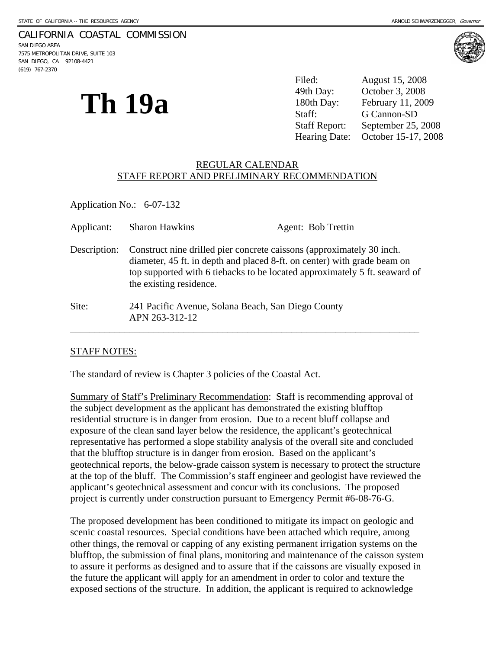### CALIFORNIA COASTAL COMMISSION

SAN DIEGO AREA 7575 METROPOLITAN DRIVE, SUITE 103 SAN DIEGO, CA 92108-4421 (619) 767-2370



**Th 19a** 

Filed: August 15, 2008 49th Day: October 3, 2008 180th Day: February 11, 2009 Staff: G Cannon-SD Staff Report: September 25, 2008 Hearing Date: October 15-17, 2008

### REGULAR CALENDAR STAFF REPORT AND PRELIMINARY RECOMMENDATION

Application No.: 6-07-132

| Applicant:   | <b>Sharon Hawkins</b>                                                                                                                                                        | Agent: Bob Trettin                                                         |
|--------------|------------------------------------------------------------------------------------------------------------------------------------------------------------------------------|----------------------------------------------------------------------------|
| Description: | Construct nine drilled pier concrete caissons (approximately 30 inch.<br>diameter, 45 ft. in depth and placed 8-ft. on center) with grade beam on<br>the existing residence. | top supported with 6 tiebacks to be located approximately 5 ft. seaward of |
| Site:        | 241 Pacific Avenue, Solana Beach, San Diego County<br>APN 263-312-12                                                                                                         |                                                                            |

### STAFF NOTES:

The standard of review is Chapter 3 policies of the Coastal Act.

Summary of Staff's Preliminary Recommendation: Staff is recommending approval of the subject development as the applicant has demonstrated the existing blufftop residential structure is in danger from erosion. Due to a recent bluff collapse and exposure of the clean sand layer below the residence, the applicant's geotechnical representative has performed a slope stability analysis of the overall site and concluded that the blufftop structure is in danger from erosion. Based on the applicant's geotechnical reports, the below-grade caisson system is necessary to protect the structure at the top of the bluff. The Commission's staff engineer and geologist have reviewed the applicant's geotechnical assessment and concur with its conclusions. The proposed project is currently under construction pursuant to Emergency Permit #6-08-76-G.

The proposed development has been conditioned to mitigate its impact on geologic and scenic coastal resources. Special conditions have been attached which require, among other things, the removal or capping of any existing permanent irrigation systems on the blufftop, the submission of final plans, monitoring and maintenance of the caisson system to assure it performs as designed and to assure that if the caissons are visually exposed in the future the applicant will apply for an amendment in order to color and texture the exposed sections of the structure. In addition, the applicant is required to acknowledge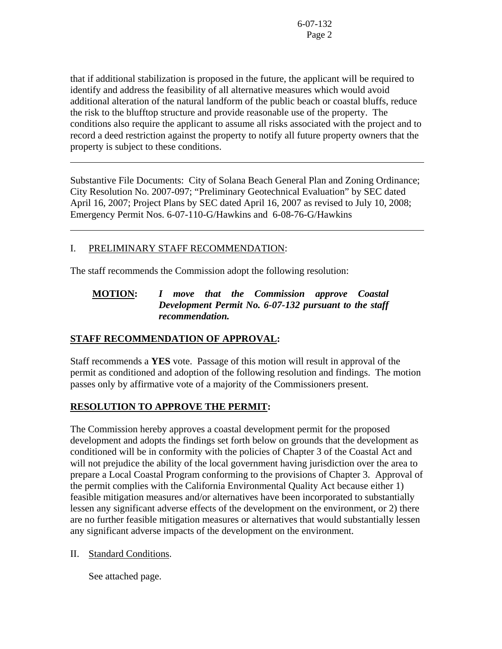that if additional stabilization is proposed in the future, the applicant will be required to identify and address the feasibility of all alternative measures which would avoid additional alteration of the natural landform of the public beach or coastal bluffs, reduce the risk to the blufftop structure and provide reasonable use of the property. The conditions also require the applicant to assume all risks associated with the project and to record a deed restriction against the property to notify all future property owners that the property is subject to these conditions.

Substantive File Documents: City of Solana Beach General Plan and Zoning Ordinance; City Resolution No. 2007-097; "Preliminary Geotechnical Evaluation" by SEC dated April 16, 2007; Project Plans by SEC dated April 16, 2007 as revised to July 10, 2008; Emergency Permit Nos. 6-07-110-G/Hawkins and 6-08-76-G/Hawkins

# I. PRELIMINARY STAFF RECOMMENDATION:

l

 $\overline{a}$ 

The staff recommends the Commission adopt the following resolution:

# **MOTION:** *I move that the Commission approve Coastal Development Permit No. 6-07-132 pursuant to the staff recommendation.*

# **STAFF RECOMMENDATION OF APPROVAL:**

Staff recommends a **YES** vote. Passage of this motion will result in approval of the permit as conditioned and adoption of the following resolution and findings. The motion passes only by affirmative vote of a majority of the Commissioners present.

# **RESOLUTION TO APPROVE THE PERMIT:**

The Commission hereby approves a coastal development permit for the proposed development and adopts the findings set forth below on grounds that the development as conditioned will be in conformity with the policies of Chapter 3 of the Coastal Act and will not prejudice the ability of the local government having jurisdiction over the area to prepare a Local Coastal Program conforming to the provisions of Chapter 3. Approval of the permit complies with the California Environmental Quality Act because either 1) feasible mitigation measures and/or alternatives have been incorporated to substantially lessen any significant adverse effects of the development on the environment, or 2) there are no further feasible mitigation measures or alternatives that would substantially lessen any significant adverse impacts of the development on the environment.

II. Standard Conditions.

See attached page.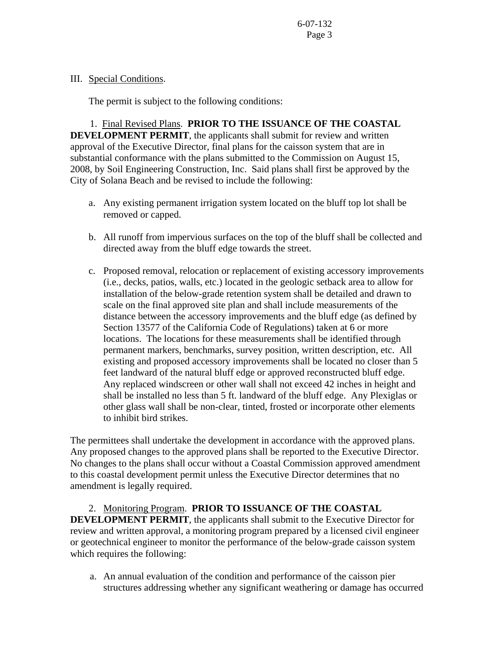### III. Special Conditions.

The permit is subject to the following conditions:

1. Final Revised Plans. **PRIOR TO THE ISSUANCE OF THE COASTAL DEVELOPMENT PERMIT**, the applicants shall submit for review and written approval of the Executive Director, final plans for the caisson system that are in substantial conformance with the plans submitted to the Commission on August 15, 2008, by Soil Engineering Construction, Inc. Said plans shall first be approved by the City of Solana Beach and be revised to include the following:

- a. Any existing permanent irrigation system located on the bluff top lot shall be removed or capped.
- b. All runoff from impervious surfaces on the top of the bluff shall be collected and directed away from the bluff edge towards the street.
- c. Proposed removal, relocation or replacement of existing accessory improvements (i.e., decks, patios, walls, etc.) located in the geologic setback area to allow for installation of the below-grade retention system shall be detailed and drawn to scale on the final approved site plan and shall include measurements of the distance between the accessory improvements and the bluff edge (as defined by Section 13577 of the California Code of Regulations) taken at 6 or more locations. The locations for these measurements shall be identified through permanent markers, benchmarks, survey position, written description, etc. All existing and proposed accessory improvements shall be located no closer than 5 feet landward of the natural bluff edge or approved reconstructed bluff edge. Any replaced windscreen or other wall shall not exceed 42 inches in height and shall be installed no less than 5 ft. landward of the bluff edge. Any Plexiglas or other glass wall shall be non-clear, tinted, frosted or incorporate other elements to inhibit bird strikes.

The permittees shall undertake the development in accordance with the approved plans. Any proposed changes to the approved plans shall be reported to the Executive Director. No changes to the plans shall occur without a Coastal Commission approved amendment to this coastal development permit unless the Executive Director determines that no amendment is legally required.

 2. Monitoring Program. **PRIOR TO ISSUANCE OF THE COASTAL DEVELOPMENT PERMIT**, the applicants shall submit to the Executive Director for review and written approval, a monitoring program prepared by a licensed civil engineer or geotechnical engineer to monitor the performance of the below-grade caisson system which requires the following:

 a. An annual evaluation of the condition and performance of the caisson pier structures addressing whether any significant weathering or damage has occurred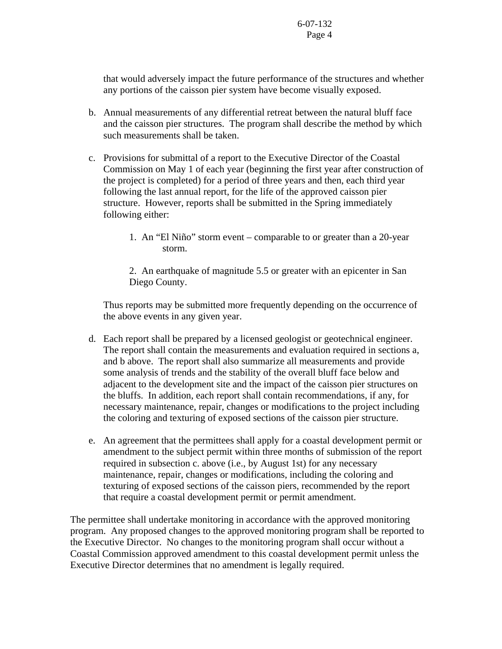that would adversely impact the future performance of the structures and whether any portions of the caisson pier system have become visually exposed.

- b. Annual measurements of any differential retreat between the natural bluff face and the caisson pier structures. The program shall describe the method by which such measurements shall be taken.
- c. Provisions for submittal of a report to the Executive Director of the Coastal Commission on May 1 of each year (beginning the first year after construction of the project is completed) for a period of three years and then, each third year following the last annual report, for the life of the approved caisson pier structure. However, reports shall be submitted in the Spring immediately following either:
	- 1. An "El Niño" storm event comparable to or greater than a 20-year storm.

2. An earthquake of magnitude 5.5 or greater with an epicenter in San Diego County.

 Thus reports may be submitted more frequently depending on the occurrence of the above events in any given year.

- d. Each report shall be prepared by a licensed geologist or geotechnical engineer. The report shall contain the measurements and evaluation required in sections a, and b above. The report shall also summarize all measurements and provide some analysis of trends and the stability of the overall bluff face below and adjacent to the development site and the impact of the caisson pier structures on the bluffs. In addition, each report shall contain recommendations, if any, for necessary maintenance, repair, changes or modifications to the project including the coloring and texturing of exposed sections of the caisson pier structure.
- e. An agreement that the permittees shall apply for a coastal development permit or amendment to the subject permit within three months of submission of the report required in subsection c. above (i.e., by August 1st) for any necessary maintenance, repair, changes or modifications, including the coloring and texturing of exposed sections of the caisson piers, recommended by the report that require a coastal development permit or permit amendment.

The permittee shall undertake monitoring in accordance with the approved monitoring program. Any proposed changes to the approved monitoring program shall be reported to the Executive Director. No changes to the monitoring program shall occur without a Coastal Commission approved amendment to this coastal development permit unless the Executive Director determines that no amendment is legally required.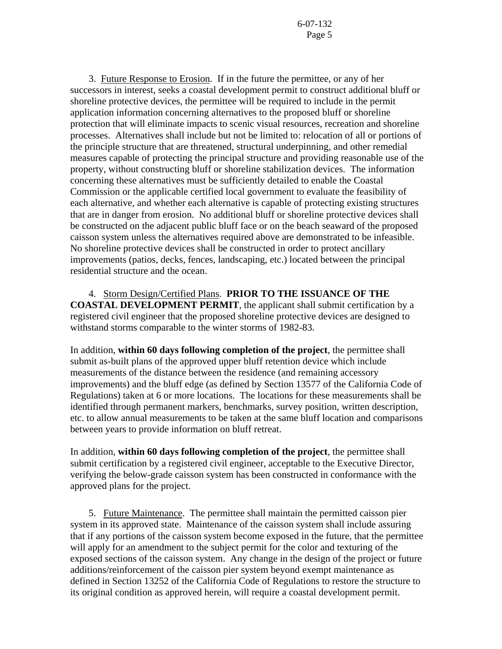3. Future Response to Erosion. If in the future the permittee, or any of her successors in interest, seeks a coastal development permit to construct additional bluff or shoreline protective devices, the permittee will be required to include in the permit application information concerning alternatives to the proposed bluff or shoreline protection that will eliminate impacts to scenic visual resources, recreation and shoreline processes. Alternatives shall include but not be limited to: relocation of all or portions of the principle structure that are threatened, structural underpinning, and other remedial measures capable of protecting the principal structure and providing reasonable use of the property, without constructing bluff or shoreline stabilization devices. The information concerning these alternatives must be sufficiently detailed to enable the Coastal Commission or the applicable certified local government to evaluate the feasibility of each alternative, and whether each alternative is capable of protecting existing structures that are in danger from erosion. No additional bluff or shoreline protective devices shall be constructed on the adjacent public bluff face or on the beach seaward of the proposed caisson system unless the alternatives required above are demonstrated to be infeasible. No shoreline protective devices shall be constructed in order to protect ancillary improvements (patios, decks, fences, landscaping, etc.) located between the principal residential structure and the ocean.

 4. Storm Design/Certified Plans. **PRIOR TO THE ISSUANCE OF THE COASTAL DEVELOPMENT PERMIT**, the applicant shall submit certification by a registered civil engineer that the proposed shoreline protective devices are designed to withstand storms comparable to the winter storms of 1982-83.

In addition, **within 60 days following completion of the project**, the permittee shall submit as-built plans of the approved upper bluff retention device which include measurements of the distance between the residence (and remaining accessory improvements) and the bluff edge (as defined by Section 13577 of the California Code of Regulations) taken at 6 or more locations. The locations for these measurements shall be identified through permanent markers, benchmarks, survey position, written description, etc. to allow annual measurements to be taken at the same bluff location and comparisons between years to provide information on bluff retreat.

In addition, **within 60 days following completion of the project**, the permittee shall submit certification by a registered civil engineer, acceptable to the Executive Director, verifying the below-grade caisson system has been constructed in conformance with the approved plans for the project.

 5. Future Maintenance. The permittee shall maintain the permitted caisson pier system in its approved state. Maintenance of the caisson system shall include assuring that if any portions of the caisson system become exposed in the future, that the permittee will apply for an amendment to the subject permit for the color and texturing of the exposed sections of the caisson system. Any change in the design of the project or future additions/reinforcement of the caisson pier system beyond exempt maintenance as defined in Section 13252 of the California Code of Regulations to restore the structure to its original condition as approved herein, will require a coastal development permit.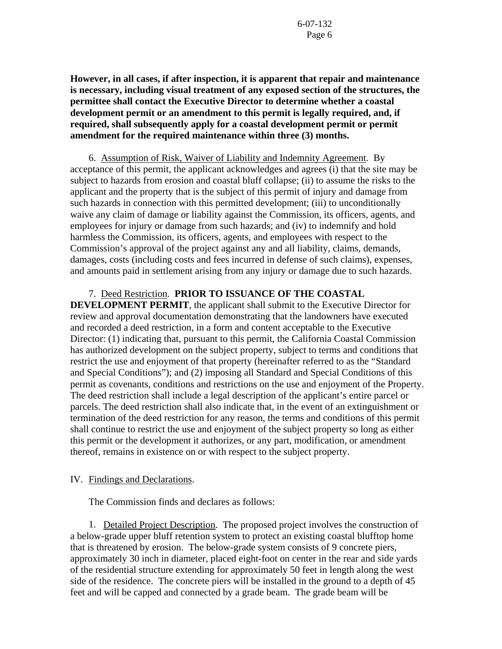**However, in all cases, if after inspection, it is apparent that repair and maintenance is necessary, including visual treatment of any exposed section of the structures, the permittee shall contact the Executive Director to determine whether a coastal development permit or an amendment to this permit is legally required, and, if required, shall subsequently apply for a coastal development permit or permit amendment for the required maintenance within three (3) months.**

6. Assumption of Risk, Waiver of Liability and Indemnity Agreement. By acceptance of this permit, the applicant acknowledges and agrees (i) that the site may be subject to hazards from erosion and coastal bluff collapse; (ii) to assume the risks to the applicant and the property that is the subject of this permit of injury and damage from such hazards in connection with this permitted development; (iii) to unconditionally waive any claim of damage or liability against the Commission, its officers, agents, and employees for injury or damage from such hazards; and (iv) to indemnify and hold harmless the Commission, its officers, agents, and employees with respect to the Commission's approval of the project against any and all liability, claims, demands, damages, costs (including costs and fees incurred in defense of such claims), expenses, and amounts paid in settlement arising from any injury or damage due to such hazards.

## 7. Deed Restriction. **PRIOR TO ISSUANCE OF THE COASTAL**

**DEVELOPMENT PERMIT**, the applicant shall submit to the Executive Director for review and approval documentation demonstrating that the landowners have executed and recorded a deed restriction, in a form and content acceptable to the Executive Director: (1) indicating that, pursuant to this permit, the California Coastal Commission has authorized development on the subject property, subject to terms and conditions that restrict the use and enjoyment of that property (hereinafter referred to as the "Standard and Special Conditions"); and (2) imposing all Standard and Special Conditions of this permit as covenants, conditions and restrictions on the use and enjoyment of the Property. The deed restriction shall include a legal description of the applicant's entire parcel or parcels. The deed restriction shall also indicate that, in the event of an extinguishment or termination of the deed restriction for any reason, the terms and conditions of this permit shall continue to restrict the use and enjoyment of the subject property so long as either this permit or the development it authorizes, or any part, modification, or amendment thereof, remains in existence on or with respect to the subject property.

### IV. Findings and Declarations.

The Commission finds and declares as follows:

 1. Detailed Project Description. The proposed project involves the construction of a below-grade upper bluff retention system to protect an existing coastal blufftop home that is threatened by erosion. The below-grade system consists of 9 concrete piers, approximately 30 inch in diameter, placed eight-foot on center in the rear and side yards of the residential structure extending for approximately 50 feet in length along the west side of the residence. The concrete piers will be installed in the ground to a depth of 45 feet and will be capped and connected by a grade beam. The grade beam will be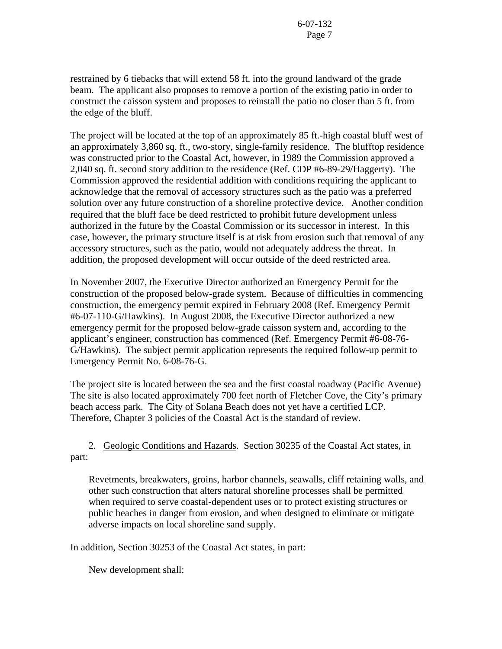restrained by 6 tiebacks that will extend 58 ft. into the ground landward of the grade beam. The applicant also proposes to remove a portion of the existing patio in order to construct the caisson system and proposes to reinstall the patio no closer than 5 ft. from the edge of the bluff.

The project will be located at the top of an approximately 85 ft.-high coastal bluff west of an approximately 3,860 sq. ft., two-story, single-family residence. The blufftop residence was constructed prior to the Coastal Act, however, in 1989 the Commission approved a 2,040 sq. ft. second story addition to the residence (Ref. CDP #6-89-29/Haggerty). The Commission approved the residential addition with conditions requiring the applicant to acknowledge that the removal of accessory structures such as the patio was a preferred solution over any future construction of a shoreline protective device. Another condition required that the bluff face be deed restricted to prohibit future development unless authorized in the future by the Coastal Commission or its successor in interest. In this case, however, the primary structure itself is at risk from erosion such that removal of any accessory structures, such as the patio, would not adequately address the threat. In addition, the proposed development will occur outside of the deed restricted area.

In November 2007, the Executive Director authorized an Emergency Permit for the construction of the proposed below-grade system. Because of difficulties in commencing construction, the emergency permit expired in February 2008 (Ref. Emergency Permit #6-07-110-G/Hawkins). In August 2008, the Executive Director authorized a new emergency permit for the proposed below-grade caisson system and, according to the applicant's engineer, construction has commenced (Ref. Emergency Permit #6-08-76- G/Hawkins). The subject permit application represents the required follow-up permit to Emergency Permit No. 6-08-76-G.

The project site is located between the sea and the first coastal roadway (Pacific Avenue) The site is also located approximately 700 feet north of Fletcher Cove, the City's primary beach access park. The City of Solana Beach does not yet have a certified LCP. Therefore, Chapter 3 policies of the Coastal Act is the standard of review.

 2. Geologic Conditions and Hazards. Section 30235 of the Coastal Act states, in part:

Revetments, breakwaters, groins, harbor channels, seawalls, cliff retaining walls, and other such construction that alters natural shoreline processes shall be permitted when required to serve coastal-dependent uses or to protect existing structures or public beaches in danger from erosion, and when designed to eliminate or mitigate adverse impacts on local shoreline sand supply.

In addition, Section 30253 of the Coastal Act states, in part:

New development shall: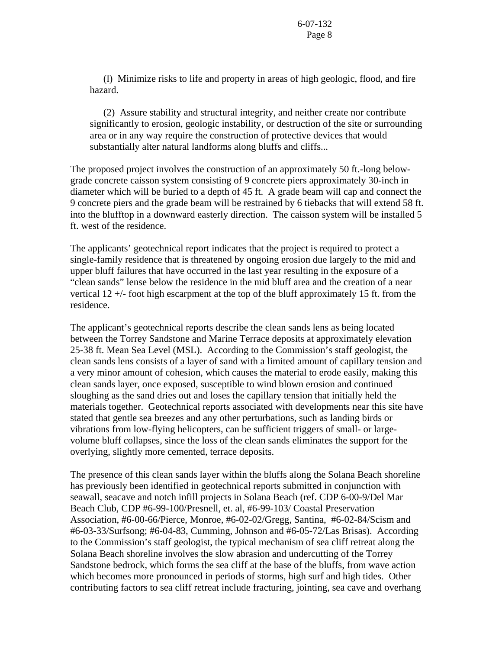(l) Minimize risks to life and property in areas of high geologic, flood, and fire hazard.

 (2) Assure stability and structural integrity, and neither create nor contribute significantly to erosion, geologic instability, or destruction of the site or surrounding area or in any way require the construction of protective devices that would substantially alter natural landforms along bluffs and cliffs...

The proposed project involves the construction of an approximately 50 ft.-long belowgrade concrete caisson system consisting of 9 concrete piers approximately 30-inch in diameter which will be buried to a depth of 45 ft. A grade beam will cap and connect the 9 concrete piers and the grade beam will be restrained by 6 tiebacks that will extend 58 ft. into the blufftop in a downward easterly direction. The caisson system will be installed 5 ft. west of the residence.

The applicants' geotechnical report indicates that the project is required to protect a single-family residence that is threatened by ongoing erosion due largely to the mid and upper bluff failures that have occurred in the last year resulting in the exposure of a "clean sands" lense below the residence in the mid bluff area and the creation of a near vertical 12 +/- foot high escarpment at the top of the bluff approximately 15 ft. from the residence.

The applicant's geotechnical reports describe the clean sands lens as being located between the Torrey Sandstone and Marine Terrace deposits at approximately elevation 25-38 ft. Mean Sea Level (MSL). According to the Commission's staff geologist, the clean sands lens consists of a layer of sand with a limited amount of capillary tension and a very minor amount of cohesion, which causes the material to erode easily, making this clean sands layer, once exposed, susceptible to wind blown erosion and continued sloughing as the sand dries out and loses the capillary tension that initially held the materials together. Geotechnical reports associated with developments near this site have stated that gentle sea breezes and any other perturbations, such as landing birds or vibrations from low-flying helicopters, can be sufficient triggers of small- or largevolume bluff collapses, since the loss of the clean sands eliminates the support for the overlying, slightly more cemented, terrace deposits.

The presence of this clean sands layer within the bluffs along the Solana Beach shoreline has previously been identified in geotechnical reports submitted in conjunction with seawall, seacave and notch infill projects in Solana Beach (ref. CDP 6-00-9/Del Mar Beach Club, CDP #6-99-100/Presnell, et. al, #6-99-103/ Coastal Preservation Association, #6-00-66/Pierce, Monroe, #6-02-02/Gregg, Santina, #6-02-84/Scism and #6-03-33/Surfsong; #6-04-83, Cumming, Johnson and #6-05-72/Las Brisas). According to the Commission's staff geologist, the typical mechanism of sea cliff retreat along the Solana Beach shoreline involves the slow abrasion and undercutting of the Torrey Sandstone bedrock, which forms the sea cliff at the base of the bluffs, from wave action which becomes more pronounced in periods of storms, high surf and high tides. Other contributing factors to sea cliff retreat include fracturing, jointing, sea cave and overhang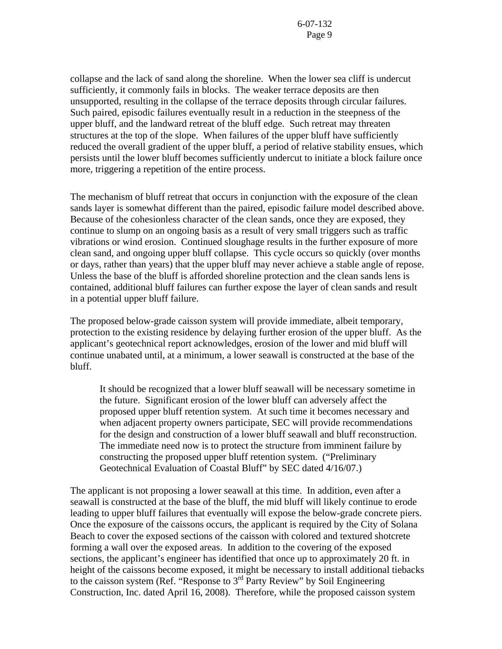collapse and the lack of sand along the shoreline. When the lower sea cliff is undercut sufficiently, it commonly fails in blocks. The weaker terrace deposits are then unsupported, resulting in the collapse of the terrace deposits through circular failures. Such paired, episodic failures eventually result in a reduction in the steepness of the upper bluff, and the landward retreat of the bluff edge. Such retreat may threaten structures at the top of the slope. When failures of the upper bluff have sufficiently reduced the overall gradient of the upper bluff, a period of relative stability ensues, which persists until the lower bluff becomes sufficiently undercut to initiate a block failure once more, triggering a repetition of the entire process.

The mechanism of bluff retreat that occurs in conjunction with the exposure of the clean sands layer is somewhat different than the paired, episodic failure model described above. Because of the cohesionless character of the clean sands, once they are exposed, they continue to slump on an ongoing basis as a result of very small triggers such as traffic vibrations or wind erosion. Continued sloughage results in the further exposure of more clean sand, and ongoing upper bluff collapse. This cycle occurs so quickly (over months or days, rather than years) that the upper bluff may never achieve a stable angle of repose. Unless the base of the bluff is afforded shoreline protection and the clean sands lens is contained, additional bluff failures can further expose the layer of clean sands and result in a potential upper bluff failure.

The proposed below-grade caisson system will provide immediate, albeit temporary, protection to the existing residence by delaying further erosion of the upper bluff. As the applicant's geotechnical report acknowledges, erosion of the lower and mid bluff will continue unabated until, at a minimum, a lower seawall is constructed at the base of the bluff.

It should be recognized that a lower bluff seawall will be necessary sometime in the future. Significant erosion of the lower bluff can adversely affect the proposed upper bluff retention system. At such time it becomes necessary and when adjacent property owners participate, SEC will provide recommendations for the design and construction of a lower bluff seawall and bluff reconstruction. The immediate need now is to protect the structure from imminent failure by constructing the proposed upper bluff retention system. ("Preliminary Geotechnical Evaluation of Coastal Bluff" by SEC dated 4/16/07.)

The applicant is not proposing a lower seawall at this time. In addition, even after a seawall is constructed at the base of the bluff, the mid bluff will likely continue to erode leading to upper bluff failures that eventually will expose the below-grade concrete piers. Once the exposure of the caissons occurs, the applicant is required by the City of Solana Beach to cover the exposed sections of the caisson with colored and textured shotcrete forming a wall over the exposed areas. In addition to the covering of the exposed sections, the applicant's engineer has identified that once up to approximately 20 ft. in height of the caissons become exposed, it might be necessary to install additional tiebacks to the caisson system (Ref. "Response to  $3<sup>rd</sup>$  Party Review" by Soil Engineering Construction, Inc. dated April 16, 2008). Therefore, while the proposed caisson system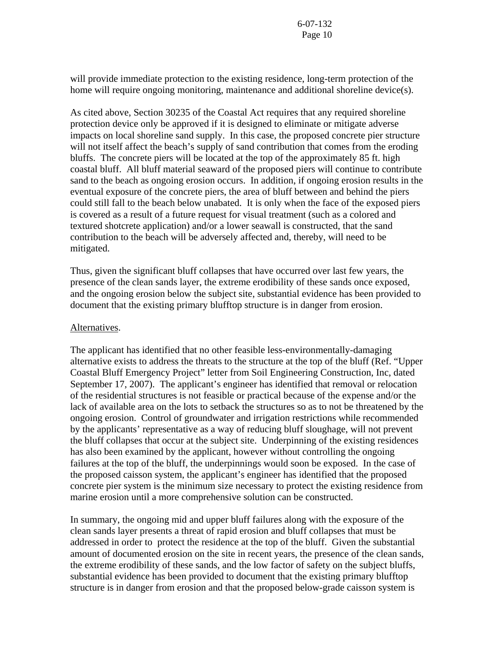will provide immediate protection to the existing residence, long-term protection of the home will require ongoing monitoring, maintenance and additional shoreline device(s).

As cited above, Section 30235 of the Coastal Act requires that any required shoreline protection device only be approved if it is designed to eliminate or mitigate adverse impacts on local shoreline sand supply. In this case, the proposed concrete pier structure will not itself affect the beach's supply of sand contribution that comes from the eroding bluffs. The concrete piers will be located at the top of the approximately 85 ft. high coastal bluff. All bluff material seaward of the proposed piers will continue to contribute sand to the beach as ongoing erosion occurs. In addition, if ongoing erosion results in the eventual exposure of the concrete piers, the area of bluff between and behind the piers could still fall to the beach below unabated. It is only when the face of the exposed piers is covered as a result of a future request for visual treatment (such as a colored and textured shotcrete application) and/or a lower seawall is constructed, that the sand contribution to the beach will be adversely affected and, thereby, will need to be mitigated.

Thus, given the significant bluff collapses that have occurred over last few years, the presence of the clean sands layer, the extreme erodibility of these sands once exposed, and the ongoing erosion below the subject site, substantial evidence has been provided to document that the existing primary blufftop structure is in danger from erosion.

#### Alternatives.

The applicant has identified that no other feasible less-environmentally-damaging alternative exists to address the threats to the structure at the top of the bluff (Ref. "Upper Coastal Bluff Emergency Project" letter from Soil Engineering Construction, Inc, dated September 17, 2007). The applicant's engineer has identified that removal or relocation of the residential structures is not feasible or practical because of the expense and/or the lack of available area on the lots to setback the structures so as to not be threatened by the ongoing erosion. Control of groundwater and irrigation restrictions while recommended by the applicants' representative as a way of reducing bluff sloughage, will not prevent the bluff collapses that occur at the subject site. Underpinning of the existing residences has also been examined by the applicant, however without controlling the ongoing failures at the top of the bluff, the underpinnings would soon be exposed. In the case of the proposed caisson system, the applicant's engineer has identified that the proposed concrete pier system is the minimum size necessary to protect the existing residence from marine erosion until a more comprehensive solution can be constructed.

In summary, the ongoing mid and upper bluff failures along with the exposure of the clean sands layer presents a threat of rapid erosion and bluff collapses that must be addressed in order to protect the residence at the top of the bluff. Given the substantial amount of documented erosion on the site in recent years, the presence of the clean sands, the extreme erodibility of these sands, and the low factor of safety on the subject bluffs, substantial evidence has been provided to document that the existing primary blufftop structure is in danger from erosion and that the proposed below-grade caisson system is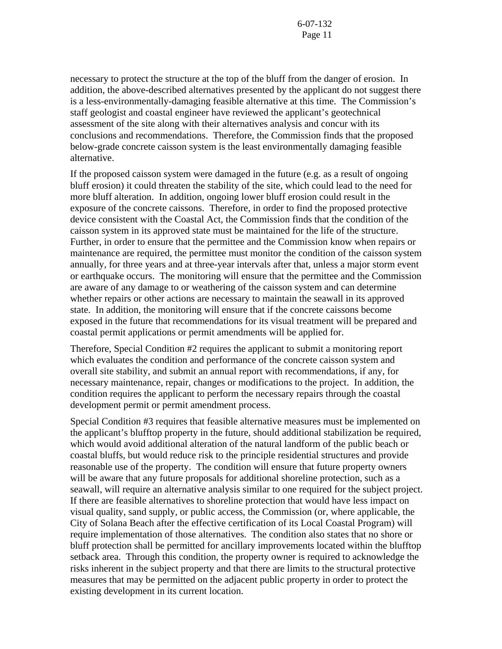necessary to protect the structure at the top of the bluff from the danger of erosion. In addition, the above-described alternatives presented by the applicant do not suggest there is a less-environmentally-damaging feasible alternative at this time. The Commission's staff geologist and coastal engineer have reviewed the applicant's geotechnical assessment of the site along with their alternatives analysis and concur with its conclusions and recommendations. Therefore, the Commission finds that the proposed below-grade concrete caisson system is the least environmentally damaging feasible alternative.

If the proposed caisson system were damaged in the future (e.g. as a result of ongoing bluff erosion) it could threaten the stability of the site, which could lead to the need for more bluff alteration. In addition, ongoing lower bluff erosion could result in the exposure of the concrete caissons. Therefore, in order to find the proposed protective device consistent with the Coastal Act, the Commission finds that the condition of the caisson system in its approved state must be maintained for the life of the structure. Further, in order to ensure that the permittee and the Commission know when repairs or maintenance are required, the permittee must monitor the condition of the caisson system annually, for three years and at three-year intervals after that, unless a major storm event or earthquake occurs. The monitoring will ensure that the permittee and the Commission are aware of any damage to or weathering of the caisson system and can determine whether repairs or other actions are necessary to maintain the seawall in its approved state. In addition, the monitoring will ensure that if the concrete caissons become exposed in the future that recommendations for its visual treatment will be prepared and coastal permit applications or permit amendments will be applied for.

Therefore, Special Condition #2 requires the applicant to submit a monitoring report which evaluates the condition and performance of the concrete caisson system and overall site stability, and submit an annual report with recommendations, if any, for necessary maintenance, repair, changes or modifications to the project. In addition, the condition requires the applicant to perform the necessary repairs through the coastal development permit or permit amendment process.

Special Condition #3 requires that feasible alternative measures must be implemented on the applicant's blufftop property in the future, should additional stabilization be required, which would avoid additional alteration of the natural landform of the public beach or coastal bluffs, but would reduce risk to the principle residential structures and provide reasonable use of the property. The condition will ensure that future property owners will be aware that any future proposals for additional shoreline protection, such as a seawall, will require an alternative analysis similar to one required for the subject project. If there are feasible alternatives to shoreline protection that would have less impact on visual quality, sand supply, or public access, the Commission (or, where applicable, the City of Solana Beach after the effective certification of its Local Coastal Program) will require implementation of those alternatives. The condition also states that no shore or bluff protection shall be permitted for ancillary improvements located within the blufftop setback area. Through this condition, the property owner is required to acknowledge the risks inherent in the subject property and that there are limits to the structural protective measures that may be permitted on the adjacent public property in order to protect the existing development in its current location.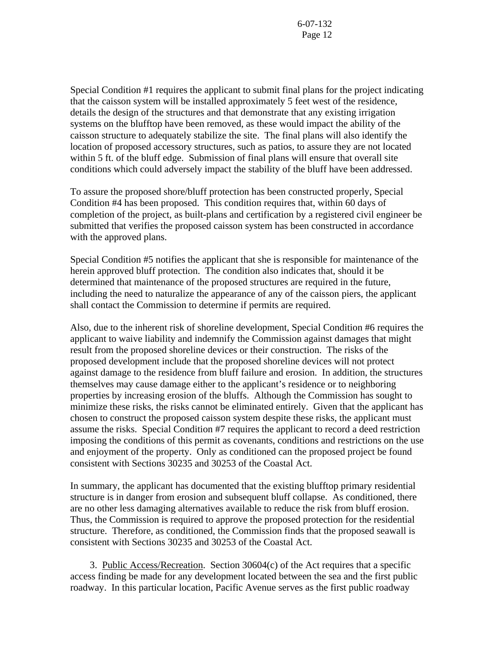Special Condition #1 requires the applicant to submit final plans for the project indicating that the caisson system will be installed approximately 5 feet west of the residence, details the design of the structures and that demonstrate that any existing irrigation systems on the blufftop have been removed, as these would impact the ability of the caisson structure to adequately stabilize the site. The final plans will also identify the location of proposed accessory structures, such as patios, to assure they are not located within 5 ft. of the bluff edge. Submission of final plans will ensure that overall site conditions which could adversely impact the stability of the bluff have been addressed.

To assure the proposed shore/bluff protection has been constructed properly, Special Condition #4 has been proposed. This condition requires that, within 60 days of completion of the project, as built-plans and certification by a registered civil engineer be submitted that verifies the proposed caisson system has been constructed in accordance with the approved plans.

Special Condition #5 notifies the applicant that she is responsible for maintenance of the herein approved bluff protection. The condition also indicates that, should it be determined that maintenance of the proposed structures are required in the future, including the need to naturalize the appearance of any of the caisson piers, the applicant shall contact the Commission to determine if permits are required.

Also, due to the inherent risk of shoreline development, Special Condition #6 requires the applicant to waive liability and indemnify the Commission against damages that might result from the proposed shoreline devices or their construction. The risks of the proposed development include that the proposed shoreline devices will not protect against damage to the residence from bluff failure and erosion. In addition, the structures themselves may cause damage either to the applicant's residence or to neighboring properties by increasing erosion of the bluffs. Although the Commission has sought to minimize these risks, the risks cannot be eliminated entirely. Given that the applicant has chosen to construct the proposed caisson system despite these risks, the applicant must assume the risks. Special Condition #7 requires the applicant to record a deed restriction imposing the conditions of this permit as covenants, conditions and restrictions on the use and enjoyment of the property. Only as conditioned can the proposed project be found consistent with Sections 30235 and 30253 of the Coastal Act.

In summary, the applicant has documented that the existing blufftop primary residential structure is in danger from erosion and subsequent bluff collapse. As conditioned, there are no other less damaging alternatives available to reduce the risk from bluff erosion. Thus, the Commission is required to approve the proposed protection for the residential structure. Therefore, as conditioned, the Commission finds that the proposed seawall is consistent with Sections 30235 and 30253 of the Coastal Act.

3. Public Access/Recreation. Section 30604(c) of the Act requires that a specific access finding be made for any development located between the sea and the first public roadway. In this particular location, Pacific Avenue serves as the first public roadway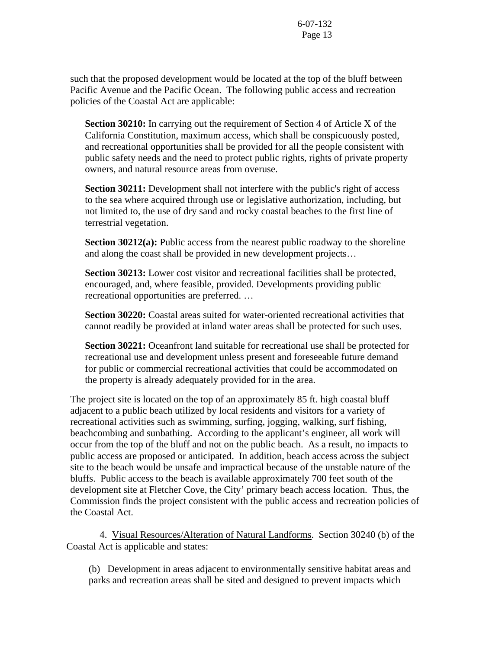such that the proposed development would be located at the top of the bluff between Pacific Avenue and the Pacific Ocean. The following public access and recreation policies of the Coastal Act are applicable:

**Section 30210:** In carrying out the requirement of Section 4 of Article X of the California Constitution, maximum access, which shall be conspicuously posted, and recreational opportunities shall be provided for all the people consistent with public safety needs and the need to protect public rights, rights of private property owners, and natural resource areas from overuse.

**Section 30211:** Development shall not interfere with the public's right of access to the sea where acquired through use or legislative authorization, including, but not limited to, the use of dry sand and rocky coastal beaches to the first line of terrestrial vegetation.

**Section 30212(a):** Public access from the nearest public roadway to the shoreline and along the coast shall be provided in new development projects…

**Section 30213:** Lower cost visitor and recreational facilities shall be protected, encouraged, and, where feasible, provided. Developments providing public recreational opportunities are preferred. …

**Section 30220:** Coastal areas suited for water-oriented recreational activities that cannot readily be provided at inland water areas shall be protected for such uses.

**Section 30221:** Oceanfront land suitable for recreational use shall be protected for recreational use and development unless present and foreseeable future demand for public or commercial recreational activities that could be accommodated on the property is already adequately provided for in the area.

The project site is located on the top of an approximately 85 ft. high coastal bluff adjacent to a public beach utilized by local residents and visitors for a variety of recreational activities such as swimming, surfing, jogging, walking, surf fishing, beachcombing and sunbathing. According to the applicant's engineer, all work will occur from the top of the bluff and not on the public beach. As a result, no impacts to public access are proposed or anticipated. In addition, beach access across the subject site to the beach would be unsafe and impractical because of the unstable nature of the bluffs. Public access to the beach is available approximately 700 feet south of the development site at Fletcher Cove, the City' primary beach access location. Thus, the Commission finds the project consistent with the public access and recreation policies of the Coastal Act.

 4. Visual Resources/Alteration of Natural Landforms. Section 30240 (b) of the Coastal Act is applicable and states:

(b) Development in areas adjacent to environmentally sensitive habitat areas and parks and recreation areas shall be sited and designed to prevent impacts which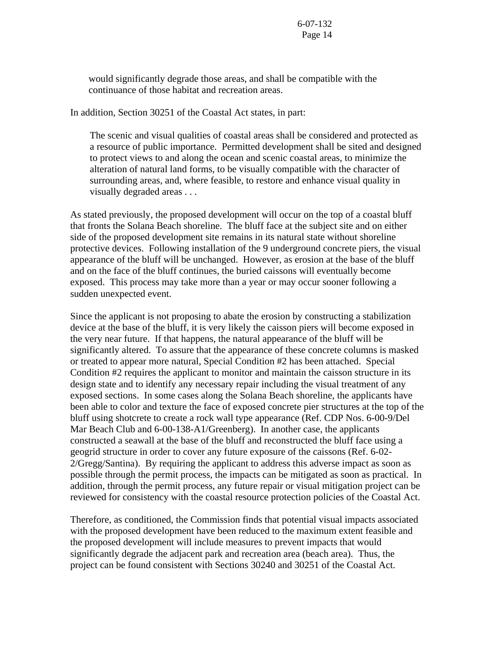would significantly degrade those areas, and shall be compatible with the continuance of those habitat and recreation areas.

In addition, Section 30251 of the Coastal Act states, in part:

 The scenic and visual qualities of coastal areas shall be considered and protected as a resource of public importance. Permitted development shall be sited and designed to protect views to and along the ocean and scenic coastal areas, to minimize the alteration of natural land forms, to be visually compatible with the character of surrounding areas, and, where feasible, to restore and enhance visual quality in visually degraded areas . . .

As stated previously, the proposed development will occur on the top of a coastal bluff that fronts the Solana Beach shoreline. The bluff face at the subject site and on either side of the proposed development site remains in its natural state without shoreline protective devices. Following installation of the 9 underground concrete piers, the visual appearance of the bluff will be unchanged. However, as erosion at the base of the bluff and on the face of the bluff continues, the buried caissons will eventually become exposed. This process may take more than a year or may occur sooner following a sudden unexpected event.

Since the applicant is not proposing to abate the erosion by constructing a stabilization device at the base of the bluff, it is very likely the caisson piers will become exposed in the very near future. If that happens, the natural appearance of the bluff will be significantly altered. To assure that the appearance of these concrete columns is masked or treated to appear more natural, Special Condition #2 has been attached. Special Condition #2 requires the applicant to monitor and maintain the caisson structure in its design state and to identify any necessary repair including the visual treatment of any exposed sections. In some cases along the Solana Beach shoreline, the applicants have been able to color and texture the face of exposed concrete pier structures at the top of the bluff using shotcrete to create a rock wall type appearance (Ref. CDP Nos. 6-00-9/Del Mar Beach Club and 6-00-138-A1/Greenberg). In another case, the applicants constructed a seawall at the base of the bluff and reconstructed the bluff face using a geogrid structure in order to cover any future exposure of the caissons (Ref. 6-02- 2/Gregg/Santina). By requiring the applicant to address this adverse impact as soon as possible through the permit process, the impacts can be mitigated as soon as practical. In addition, through the permit process, any future repair or visual mitigation project can be reviewed for consistency with the coastal resource protection policies of the Coastal Act.

Therefore, as conditioned, the Commission finds that potential visual impacts associated with the proposed development have been reduced to the maximum extent feasible and the proposed development will include measures to prevent impacts that would significantly degrade the adjacent park and recreation area (beach area). Thus, the project can be found consistent with Sections 30240 and 30251 of the Coastal Act.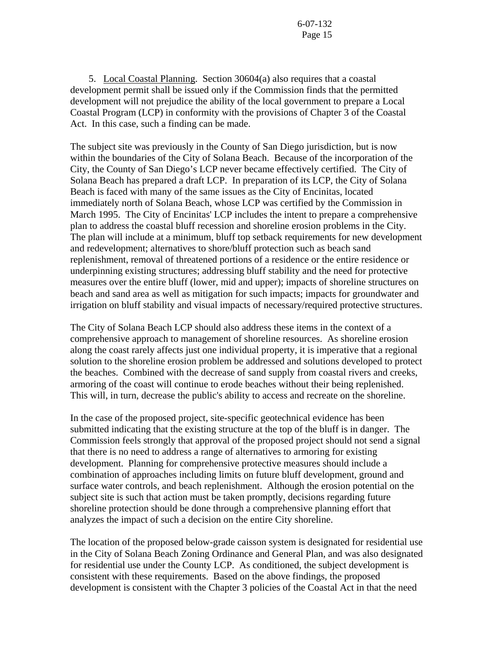5. Local Coastal Planning. Section 30604(a) also requires that a coastal development permit shall be issued only if the Commission finds that the permitted development will not prejudice the ability of the local government to prepare a Local Coastal Program (LCP) in conformity with the provisions of Chapter 3 of the Coastal Act. In this case, such a finding can be made.

The subject site was previously in the County of San Diego jurisdiction, but is now within the boundaries of the City of Solana Beach. Because of the incorporation of the City, the County of San Diego's LCP never became effectively certified. The City of Solana Beach has prepared a draft LCP. In preparation of its LCP, the City of Solana Beach is faced with many of the same issues as the City of Encinitas, located immediately north of Solana Beach, whose LCP was certified by the Commission in March 1995. The City of Encinitas' LCP includes the intent to prepare a comprehensive plan to address the coastal bluff recession and shoreline erosion problems in the City. The plan will include at a minimum, bluff top setback requirements for new development and redevelopment; alternatives to shore/bluff protection such as beach sand replenishment, removal of threatened portions of a residence or the entire residence or underpinning existing structures; addressing bluff stability and the need for protective measures over the entire bluff (lower, mid and upper); impacts of shoreline structures on beach and sand area as well as mitigation for such impacts; impacts for groundwater and irrigation on bluff stability and visual impacts of necessary/required protective structures.

The City of Solana Beach LCP should also address these items in the context of a comprehensive approach to management of shoreline resources. As shoreline erosion along the coast rarely affects just one individual property, it is imperative that a regional solution to the shoreline erosion problem be addressed and solutions developed to protect the beaches. Combined with the decrease of sand supply from coastal rivers and creeks, armoring of the coast will continue to erode beaches without their being replenished. This will, in turn, decrease the public's ability to access and recreate on the shoreline.

In the case of the proposed project, site-specific geotechnical evidence has been submitted indicating that the existing structure at the top of the bluff is in danger. The Commission feels strongly that approval of the proposed project should not send a signal that there is no need to address a range of alternatives to armoring for existing development. Planning for comprehensive protective measures should include a combination of approaches including limits on future bluff development, ground and surface water controls, and beach replenishment. Although the erosion potential on the subject site is such that action must be taken promptly, decisions regarding future shoreline protection should be done through a comprehensive planning effort that analyzes the impact of such a decision on the entire City shoreline.

The location of the proposed below-grade caisson system is designated for residential use in the City of Solana Beach Zoning Ordinance and General Plan, and was also designated for residential use under the County LCP. As conditioned, the subject development is consistent with these requirements. Based on the above findings, the proposed development is consistent with the Chapter 3 policies of the Coastal Act in that the need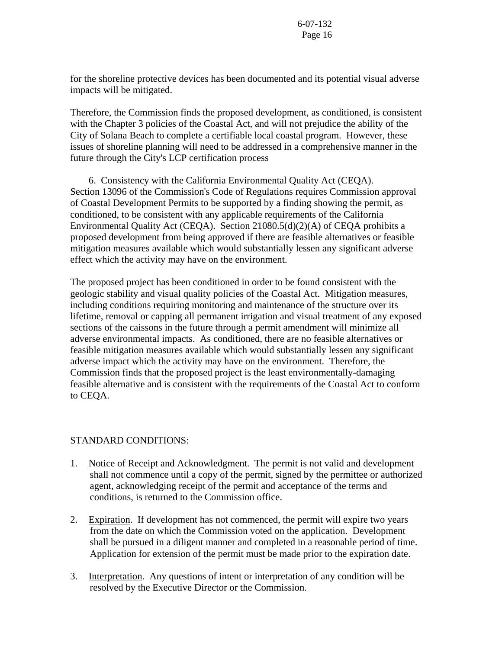for the shoreline protective devices has been documented and its potential visual adverse impacts will be mitigated.

Therefore, the Commission finds the proposed development, as conditioned, is consistent with the Chapter 3 policies of the Coastal Act, and will not prejudice the ability of the City of Solana Beach to complete a certifiable local coastal program. However, these issues of shoreline planning will need to be addressed in a comprehensive manner in the future through the City's LCP certification process

 6. Consistency with the California Environmental Quality Act (CEQA). Section 13096 of the Commission's Code of Regulations requires Commission approval of Coastal Development Permits to be supported by a finding showing the permit, as conditioned, to be consistent with any applicable requirements of the California Environmental Quality Act (CEQA). Section 21080.5(d)(2)(A) of CEQA prohibits a proposed development from being approved if there are feasible alternatives or feasible mitigation measures available which would substantially lessen any significant adverse effect which the activity may have on the environment.

The proposed project has been conditioned in order to be found consistent with the geologic stability and visual quality policies of the Coastal Act. Mitigation measures, including conditions requiring monitoring and maintenance of the structure over its lifetime, removal or capping all permanent irrigation and visual treatment of any exposed sections of the caissons in the future through a permit amendment will minimize all adverse environmental impacts. As conditioned, there are no feasible alternatives or feasible mitigation measures available which would substantially lessen any significant adverse impact which the activity may have on the environment. Therefore, the Commission finds that the proposed project is the least environmentally-damaging feasible alternative and is consistent with the requirements of the Coastal Act to conform to CEQA.

### STANDARD CONDITIONS:

- 1. Notice of Receipt and Acknowledgment. The permit is not valid and development shall not commence until a copy of the permit, signed by the permittee or authorized agent, acknowledging receipt of the permit and acceptance of the terms and conditions, is returned to the Commission office.
- 2. Expiration. If development has not commenced, the permit will expire two years from the date on which the Commission voted on the application. Development shall be pursued in a diligent manner and completed in a reasonable period of time. Application for extension of the permit must be made prior to the expiration date.
- 3. Interpretation. Any questions of intent or interpretation of any condition will be resolved by the Executive Director or the Commission.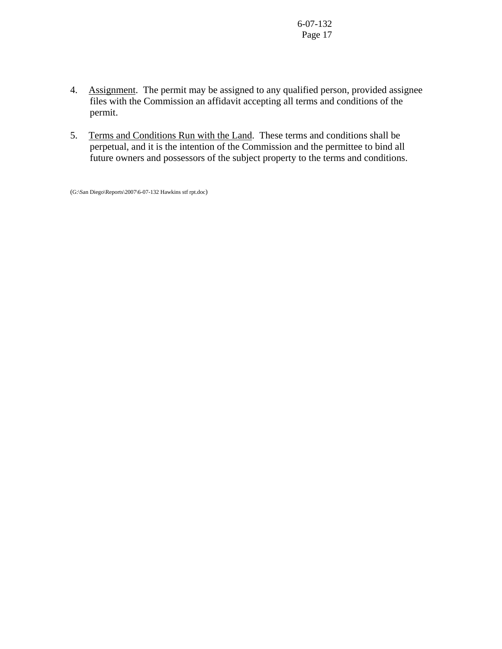- 4. Assignment. The permit may be assigned to any qualified person, provided assignee files with the Commission an affidavit accepting all terms and conditions of the permit.
- 5. Terms and Conditions Run with the Land. These terms and conditions shall be perpetual, and it is the intention of the Commission and the permittee to bind all future owners and possessors of the subject property to the terms and conditions.

(G:\San Diego\Reports\2007\6-07-132 Hawkins stf rpt.doc)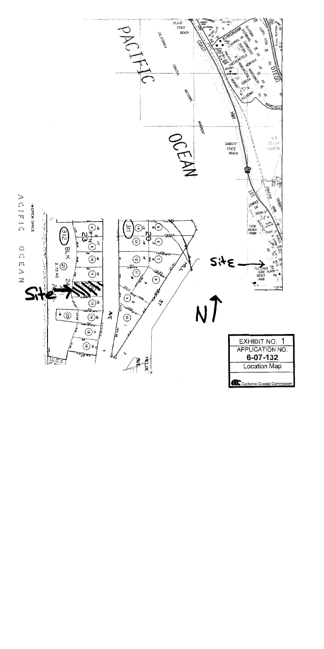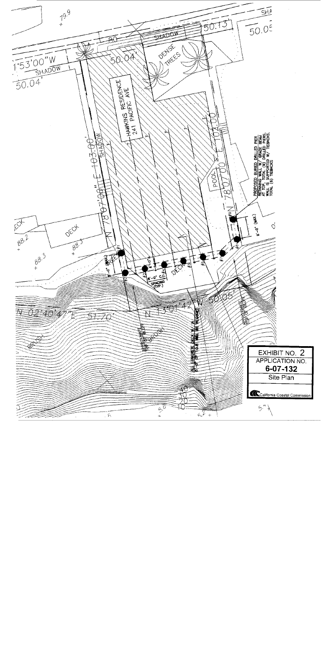